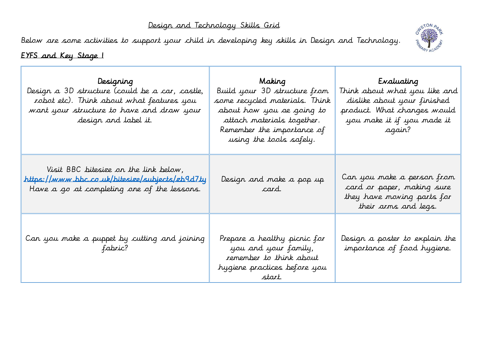## Design and Technology Skills Grid

Below are some activities to support your child in developing key skills in Design and Technology.



## EYFS and Key Stage 1

Е

| Designing<br>Design a 3D structure (could be a car, castle,<br>robot etc). Think about what features you<br>want your structure to have and draw your<br>design and label it. | Making Participation<br>Build your 3D structure from<br>some recycled materials. Think<br>about how you ae going to<br>attach materials together.<br>Remember the importance of<br>using the tools safely. | Evaluating<br>Think about what you like and<br>dislike about your finished<br>product. What changes would<br>you make it if you made it<br>agair? |
|-------------------------------------------------------------------------------------------------------------------------------------------------------------------------------|------------------------------------------------------------------------------------------------------------------------------------------------------------------------------------------------------------|---------------------------------------------------------------------------------------------------------------------------------------------------|
| Visit BBC bitesize on the link below,<br><u>https://www.bbc.co.uk/bitesize/subjects/zb9d7ty</u><br>Have a go at completing one of the lessons.                                | Design and make a pop up<br><i>card.</i>                                                                                                                                                                   | Can you make a person from<br>card or paper, making sure<br>they have moving parts for<br>their arms and legs.                                    |
| Can you make a puppet by cutting and joining<br>fabric?                                                                                                                       | Prepare a healthy picnic for<br>you and your family,<br>remember to think about<br>hygiene practices before you<br>start.                                                                                  | Design a poster to explain the<br>importance of food hygiene.                                                                                     |